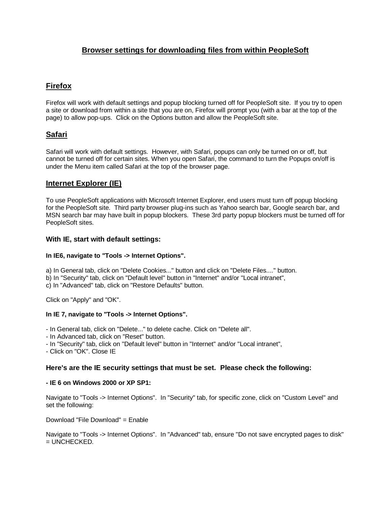# **Browser settings for downloading files from within PeopleSoft**

# **Firefox**

Firefox will work with default settings and popup blocking turned off for PeopleSoft site. If you try to open a site or download from within a site that you are on, Firefox will prompt you (with a bar at the top of the page) to allow pop-ups. Click on the Options button and allow the PeopleSoft site.

# **Safari**

Safari will work with default settings. However, with Safari, popups can only be turned on or off, but cannot be turned off for certain sites. When you open Safari, the command to turn the Popups on/off is under the Menu item called Safari at the top of the browser page.

## **Internet Explorer (IE)**

To use PeopleSoft applications with Microsoft Internet Explorer, end users must turn off popup blocking for the PeopleSoft site. Third party browser plug-ins such as Yahoo search bar, Google search bar, and MSN search bar may have built in popup blockers. These 3rd party popup blockers must be turned off for PeopleSoft sites.

### **With IE, start with default settings:**

### **In IE6, navigate to "Tools -> Internet Options".**

a) In General tab, click on "Delete Cookies..." button and click on "Delete Files...." button.

b) In "Security" tab, click on "Default level" button in "Internet" and/or "Local intranet",

c) In "Advanced" tab, click on "Restore Defaults" button.

Click on "Apply" and "OK".

### **In IE 7, navigate to "Tools -> Internet Options".**

- In General tab, click on "Delete..." to delete cache. Click on "Delete all".

- In Advanced tab, click on "Reset" button.
- In "Security" tab, click on "Default level" button in "Internet" and/or "Local intranet",
- Click on "OK". Close IE

### **Here's are the IE security settings that must be set. Please check the following:**

#### **- IE 6 on Windows 2000 or XP SP1:**

Navigate to "Tools -> Internet Options". In "Security" tab, for specific zone, click on "Custom Level" and set the following:

Download "File Download" = Enable

Navigate to "Tools -> Internet Options". In "Advanced" tab, ensure "Do not save encrypted pages to disk"  $=$  UNCHECKED.